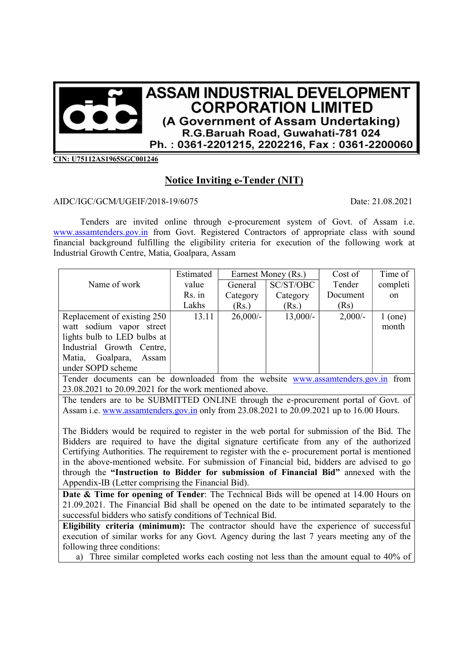

CIN: U75112AS1965SGC001246

## Notice Inviting e-Tender (NIT)

## AIDC/IGC/GCM/UGEIF/2018-19/6075 Date: 21.08.2021

Tenders are invited online through e-procurement system of Govt. of Assam i.e. www.assamtenders.gov.in from Govt. Registered Contractors of appropriate class with sound financial background fulfilling the eligibility criteria for execution of the following work at Industrial Growth Centre, Matia, Goalpara, Assam

|                              | Estimated | Earnest Money (Rs.) |            | Cost of  | Time of       |
|------------------------------|-----------|---------------------|------------|----------|---------------|
| Name of work                 | value     | General             | SC/ST/OBC  | Tender   | completi      |
|                              | Rs. in    | Category            | Category   | Document | <sub>on</sub> |
|                              | Lakhs     | (Rs.)               | (Rs.)      | (Rs)     |               |
| Replacement of existing 250  | 13.11     | $26,000/$ -         | $13,000/-$ | 2,000/   | $1$ (one)     |
| watt sodium vapor street     |           |                     |            |          | month         |
| lights bulb to LED bulbs at  |           |                     |            |          |               |
| Industrial Growth Centre,    |           |                     |            |          |               |
| Goalpara,<br>Matia,<br>Assam |           |                     |            |          |               |
| under SOPD scheme            |           |                     |            |          |               |

Tender documents can be downloaded from the website www.assamtenders.gov.in from 23.08.2021 to 20.09.2021 for the work mentioned above.

The tenders are to be SUBMITTED ONLINE through the e-procurement portal of Govt. of Assam i.e. www.assamtenders.gov.in only from 23.08.2021 to 20.09.2021 up to 16.00 Hours.

The Bidders would be required to register in the web portal for submission of the Bid. The Bidders are required to have the digital signature certificate from any of the authorized Certifying Authorities. The requirement to register with the e- procurement portal is mentioned in the above-mentioned website. For submission of Financial bid, bidders are advised to go through the "Instruction to Bidder for submission of Financial Bid" annexed with the Appendix-IB (Letter comprising the Financial Bid).

Date & Time for opening of Tender: The Technical Bids will be opened at 14.00 Hours on 21.09.2021. The Financial Bid shall be opened on the date to be intimated separately to the successful bidders who satisfy conditions of Technical Bid.

Eligibility criteria (minimum): The contractor should have the experience of successful execution of similar works for any Govt. Agency during the last 7 years meeting any of the following three conditions:

a) Three similar completed works each costing not less than the amount equal to 40% of